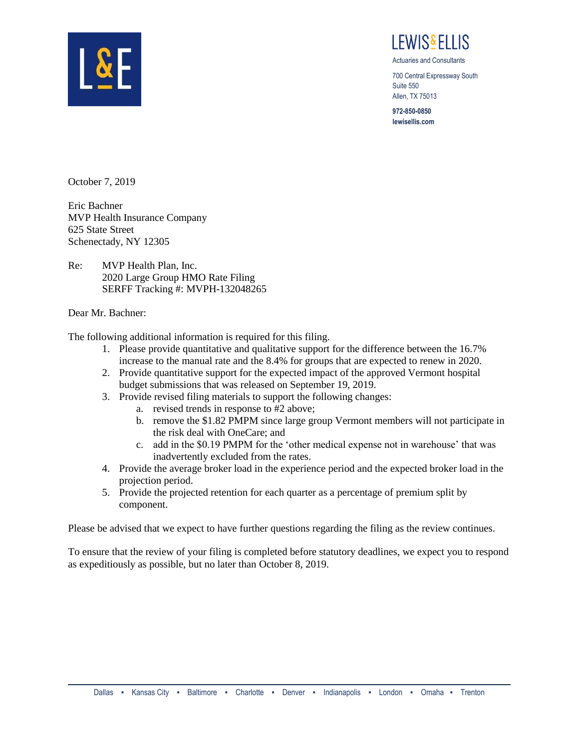

I FWIS&FI LIS

Actuaries and Consultants

700 Central Expressway South Suite 550 Allen, TX 75013

**972-850-0850 lewisellis.com**

October 7, 2019

Eric Bachner MVP Health Insurance Company 625 State Street Schenectady, NY 12305

Re: MVP Health Plan, Inc. 2020 Large Group HMO Rate Filing SERFF Tracking #: MVPH-132048265

Dear Mr. Bachner:

The following additional information is required for this filing.

- 1. Please provide quantitative and qualitative support for the difference between the 16.7% increase to the manual rate and the 8.4% for groups that are expected to renew in 2020.
- 2. Provide quantitative support for the expected impact of the approved Vermont hospital budget submissions that was released on September 19, 2019.
- 3. Provide revised filing materials to support the following changes:
	- a. revised trends in response to #2 above;
	- b. remove the \$1.82 PMPM since large group Vermont members will not participate in the risk deal with OneCare; and
	- c. add in the \$0.19 PMPM for the 'other medical expense not in warehouse' that was inadvertently excluded from the rates.
- 4. Provide the average broker load in the experience period and the expected broker load in the projection period.
- 5. Provide the projected retention for each quarter as a percentage of premium split by component.

Please be advised that we expect to have further questions regarding the filing as the review continues.

To ensure that the review of your filing is completed before statutory deadlines, we expect you to respond as expeditiously as possible, but no later than October 8, 2019.